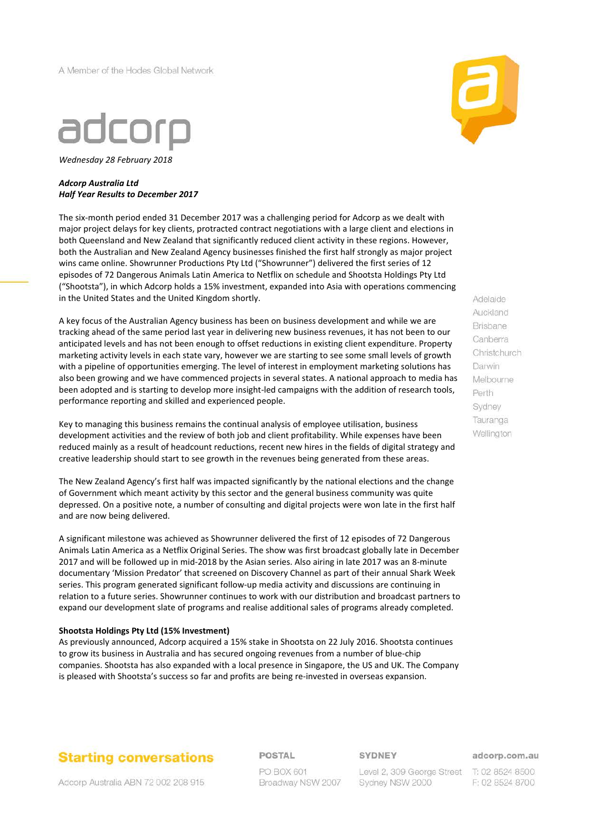A Member of the Hodes Global Network



*Wednesday 28 February 2018*

#### *Adcorp Australia Ltd Half Year Results to December 2017*

The six-month period ended 31 December 2017 was a challenging period for Adcorp as we dealt with major project delays for key clients, protracted contract negotiations with a large client and elections in both Queensland and New Zealand that significantly reduced client activity in these regions. However, both the Australian and New Zealand Agency businesses finished the first half strongly as major project wins came online. Showrunner Productions Pty Ltd ("Showrunner") delivered the first series of 12 episodes of 72 Dangerous Animals Latin America to Netflix on schedule and Shootsta Holdings Pty Ltd ("Shootsta"), in which Adcorp holds a 15% investment, expanded into Asia with operations commencing in the United States and the United Kingdom shortly.

A key focus of the Australian Agency business has been on business development and while we are tracking ahead of the same period last year in delivering new business revenues, it has not been to our anticipated levels and has not been enough to offset reductions in existing client expenditure. Property marketing activity levels in each state vary, however we are starting to see some small levels of growth with a pipeline of opportunities emerging. The level of interest in employment marketing solutions has also been growing and we have commenced projects in several states. A national approach to media has been adopted and is starting to develop more insight-led campaigns with the addition of research tools, performance reporting and skilled and experienced people.

Key to managing this business remains the continual analysis of employee utilisation, business development activities and the review of both job and client profitability. While expenses have been reduced mainly as a result of headcount reductions, recent new hires in the fields of digital strategy and creative leadership should start to see growth in the revenues being generated from these areas.

The New Zealand Agency's first half was impacted significantly by the national elections and the change of Government which meant activity by this sector and the general business community was quite depressed. On a positive note, a number of consulting and digital projects were won late in the first half and are now being delivered.

A significant milestone was achieved as Showrunner delivered the first of 12 episodes of 72 Dangerous Animals Latin America as a Netflix Original Series. The show was first broadcast globally late in December 2017 and will be followed up in mid-2018 by the Asian series. Also airing in late 2017 was an 8-minute documentary 'Mission Predator' that screened on Discovery Channel as part of their annual Shark Week series. This program generated significant follow-up media activity and discussions are continuing in relation to a future series. Showrunner continues to work with our distribution and broadcast partners to expand our development slate of programs and realise additional sales of programs already completed.

#### **Shootsta Holdings Pty Ltd (15% Investment)**

As previously announced, Adcorp acquired a 15% stake in Shootsta on 22 July 2016. Shootsta continues to grow its business in Australia and has secured ongoing revenues from a number of blue-chip companies. Shootsta has also expanded with a local presence in Singapore, the US and UK. The Company is pleased with Shootsta's success so far and profits are being re-invested in overseas expansion.



Adelaide Auckland **Brisbane** Canberra Christchurch Darwin Melbourne Perth Sydney Tauranga Wellington

**Starting conversations** 

Adcorp Australia ABN 72 002 208 915

POSTAL

PO BOX 601 Broadway NSW 2007 **SYDNEY** 

Level 2, 309 George Street T: 02 8524 8500 Sydney NSW 2000

adcorp.com.au

F: 02 8524 8700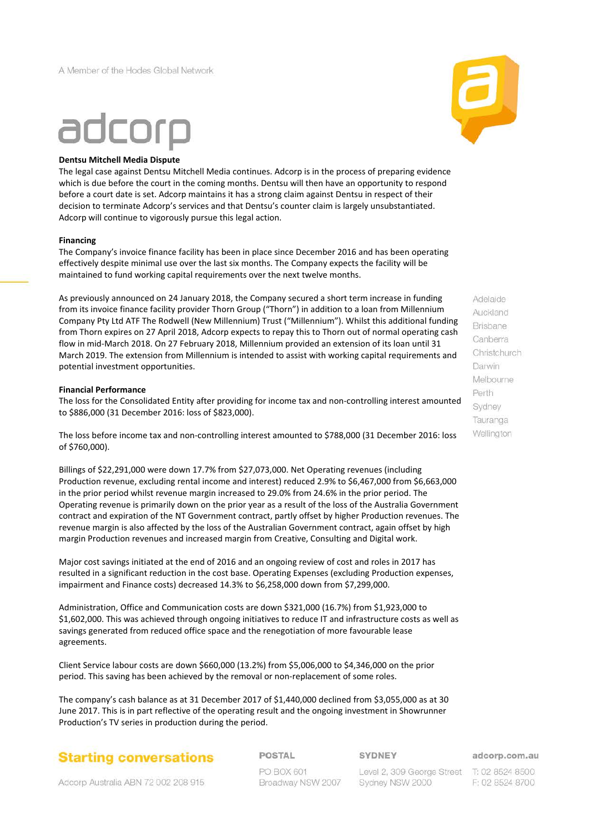

#### **Dentsu Mitchell Media Dispute**

The legal case against Dentsu Mitchell Media continues. Adcorp is in the process of preparing evidence which is due before the court in the coming months. Dentsu will then have an opportunity to respond before a court date is set. Adcorp maintains it has a strong claim against Dentsu in respect of their decision to terminate Adcorp's services and that Dentsu's counter claim is largely unsubstantiated. Adcorp will continue to vigorously pursue this legal action.

#### **Financing**

The Company's invoice finance facility has been in place since December 2016 and has been operating effectively despite minimal use over the last six months. The Company expects the facility will be maintained to fund working capital requirements over the next twelve months.

As previously announced on 24 January 2018, the Company secured a short term increase in funding from its invoice finance facility provider Thorn Group ("Thorn") in addition to a loan from Millennium Company Pty Ltd ATF The Rodwell (New Millennium) Trust ("Millennium"). Whilst this additional funding from Thorn expires on 27 April 2018, Adcorp expects to repay this to Thorn out of normal operating cash flow in mid-March 2018. On 27 February 2018, Millennium provided an extension of its loan until 31 March 2019. The extension from Millennium is intended to assist with working capital requirements and potential investment opportunities.

#### **Financial Performance**

The loss for the Consolidated Entity after providing for income tax and non-controlling interest amounted to \$886,000 (31 December 2016: loss of \$823,000).

The loss before income tax and non-controlling interest amounted to \$788,000 (31 December 2016: loss of \$760,000).

Billings of \$22,291,000 were down 17.7% from \$27,073,000. Net Operating revenues (including Production revenue, excluding rental income and interest) reduced 2.9% to \$6,467,000 from \$6,663,000 in the prior period whilst revenue margin increased to 29.0% from 24.6% in the prior period. The Operating revenue is primarily down on the prior year as a result of the loss of the Australia Government contract and expiration of the NT Government contract, partly offset by higher Production revenues. The revenue margin is also affected by the loss of the Australian Government contract, again offset by high margin Production revenues and increased margin from Creative, Consulting and Digital work.

Major cost savings initiated at the end of 2016 and an ongoing review of cost and roles in 2017 has resulted in a significant reduction in the cost base. Operating Expenses (excluding Production expenses, impairment and Finance costs) decreased 14.3% to \$6,258,000 down from \$7,299,000.

Administration, Office and Communication costs are down \$321,000 (16.7%) from \$1,923,000 to \$1,602,000. This was achieved through ongoing initiatives to reduce IT and infrastructure costs as well as savings generated from reduced office space and the renegotiation of more favourable lease agreements.

Client Service labour costs are down \$660,000 (13.2%) from \$5,006,000 to \$4,346,000 on the prior period. This saving has been achieved by the removal or non-replacement of some roles.

The company's cash balance as at 31 December 2017 of \$1,440,000 declined from \$3,055,000 as at 30 June 2017. This is in part reflective of the operating result and the ongoing investment in Showrunner Production's TV series in production during the period.



POSTAL

#### **SYDNEY**

adcorp.com.au

PO BOX 601 Broadway NSW 2007

Level 2, 309 George Street T: 02 8524 8500 Sydney NSW 2000

F: 02 8524 8700

Auckland **Brisbane** Canberra Christchurch Darwin Melbourne Perth Sydney Tauranga Wellington

Adelaide



Adcorp Australia ABN 72 002 208 915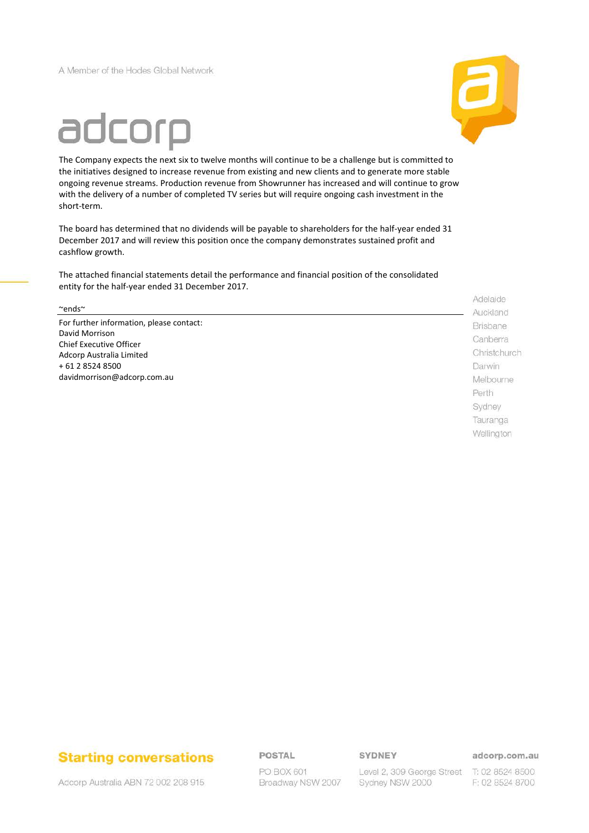A Member of the Hodes Global Network



# adcorp

The Company expects the next six to twelve months will continue to be a challenge but is committed to the initiatives designed to increase revenue from existing and new clients and to generate more stable ongoing revenue streams. Production revenue from Showrunner has increased and will continue to grow with the delivery of a number of completed TV series but will require ongoing cash investment in the short-term.

The board has determined that no dividends will be payable to shareholders for the half-year ended 31 December 2017 and will review this position once the company demonstrates sustained profit and cashflow growth.

The attached financial statements detail the performance and financial position of the consolidated entity for the half-year ended 31 December 2017.

 $\sim$ ends $\sim$ 

For further information, please contact: David Morrison Chief Executive Officer Adcorp Australia Limited + 61 2 8524 8500 davidmorrison@adcorp.com.au

Adelaide Auckland **Brisbane** Canberra Christchurch Darwin Melbourne Perth Sydney Tauranga Wellington

# **Starting conversations**

Adcorp Australia ABN 72 002 208 915

POSTAL

PO BOX 601 Broadway NSW 2007 SYDNEY

Sydney NSW 2000

adcorp.com.au

Level 2, 309 George Street T: 02 8524 8500 F: 02 8524 8700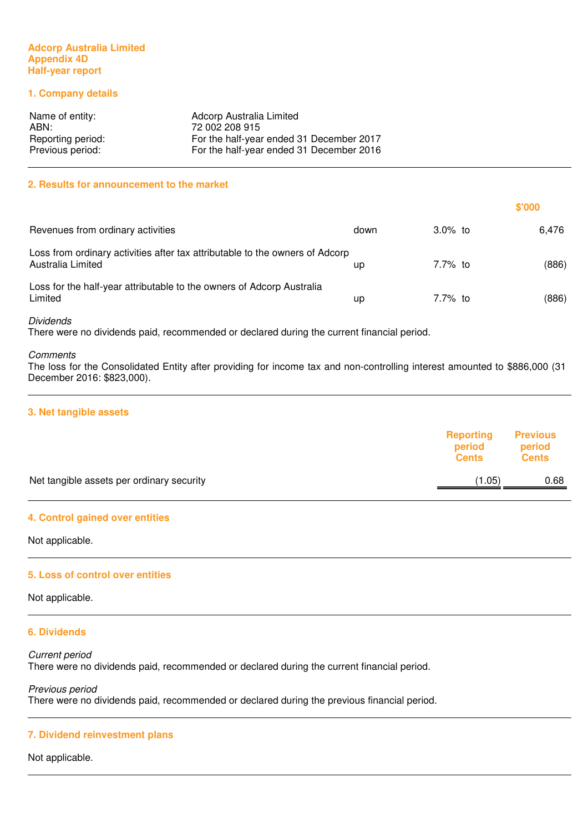# **Adcorp Australia Limited Appendix 4D Half-year report**

# **1. Company details**

| Name of entity:   | Adcorp Australia Limited                 |
|-------------------|------------------------------------------|
| ABN:              | 72 002 208 915                           |
| Reporting period: | For the half-year ended 31 December 2017 |
| Previous period:  | For the half-year ended 31 December 2016 |

#### **2. Results for announcement to the market**

|                                                                                                   |      |            | \$'000 |
|---------------------------------------------------------------------------------------------------|------|------------|--------|
| Revenues from ordinary activities                                                                 | down | $3.0\%$ to | 6.476  |
| Loss from ordinary activities after tax attributable to the owners of Adcorp<br>Australia Limited | up   | 7.7% to    | (886)  |
| Loss for the half-year attributable to the owners of Adcorp Australia<br>Limited                  | up   | 7.7% to    | (886)  |

#### Dividends

There were no dividends paid, recommended or declared during the current financial period.

#### **Comments**

The loss for the Consolidated Entity after providing for income tax and non-controlling interest amounted to \$886,000 (31 December 2016: \$823,000).

#### **3. Net tangible assets**

|                                           | Reporting<br>period<br><b>Cents</b> | <b>Previous</b><br>period<br><b>Cents</b> |
|-------------------------------------------|-------------------------------------|-------------------------------------------|
| Net tangible assets per ordinary security | (1.05)                              | 0.68                                      |
|                                           |                                     |                                           |

#### **4. Control gained over entities**

Not applicable.

#### **5. Loss of control over entities**

Not applicable.

# **6. Dividends**

Current period There were no dividends paid, recommended or declared during the current financial period.

Previous period There were no dividends paid, recommended or declared during the previous financial period.

#### **7. Dividend reinvestment plans**

Not applicable.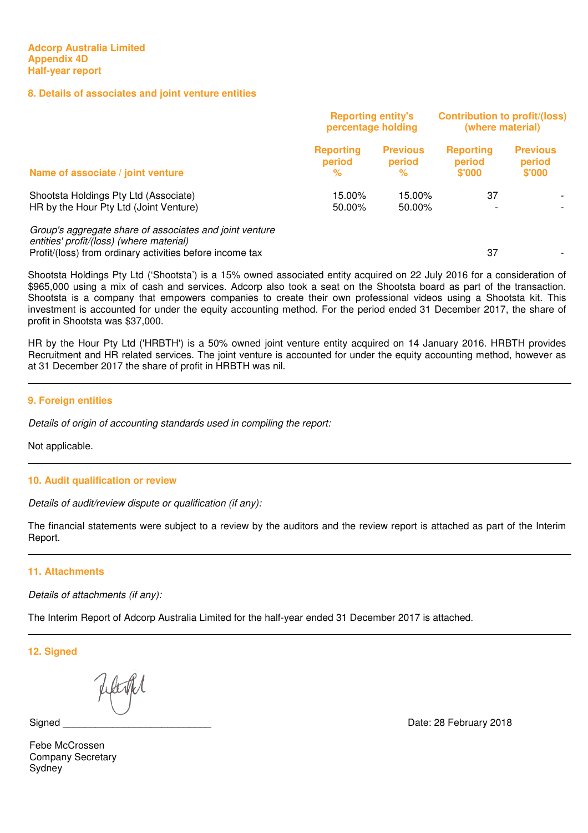# **8. Details of associates and joint venture entities**

|                                                                                                                                                                 | <b>Reporting entity's</b><br>percentage holding |                                | <b>Contribution to profit/(loss)</b><br>(where material) |                                     |
|-----------------------------------------------------------------------------------------------------------------------------------------------------------------|-------------------------------------------------|--------------------------------|----------------------------------------------------------|-------------------------------------|
| Name of associate / joint venture                                                                                                                               | <b>Reporting</b><br>period<br>%                 | <b>Previous</b><br>period<br>℅ | <b>Reporting</b><br>period<br>\$'000                     | <b>Previous</b><br>period<br>\$'000 |
| Shootsta Holdings Pty Ltd (Associate)<br>HR by the Hour Pty Ltd (Joint Venture)                                                                                 | 15.00%<br>50.00%                                | 15.00%<br>50.00%               | 37                                                       |                                     |
| Group's aggregate share of associates and joint venture<br>entities' profit/(loss) (where material)<br>Profit/(loss) from ordinary activities before income tax |                                                 |                                | 37                                                       |                                     |

Shootsta Holdings Pty Ltd ('Shootsta') is a 15% owned associated entity acquired on 22 July 2016 for a consideration of \$965,000 using a mix of cash and services. Adcorp also took a seat on the Shootsta board as part of the transaction. Shootsta is a company that empowers companies to create their own professional videos using a Shootsta kit. This investment is accounted for under the equity accounting method. For the period ended 31 December 2017, the share of profit in Shootsta was \$37,000.

HR by the Hour Pty Ltd ('HRBTH') is a 50% owned joint venture entity acquired on 14 January 2016. HRBTH provides Recruitment and HR related services. The joint venture is accounted for under the equity accounting method, however as at 31 December 2017 the share of profit in HRBTH was nil.

# **9. Foreign entities**

Details of origin of accounting standards used in compiling the report:

Not applicable.

#### **10. Audit qualification or review**

Details of audit/review dispute or qualification (if any):

The financial statements were subject to a review by the auditors and the review report is attached as part of the Interim Report.

# **11. Attachments**

Details of attachments (if any):

The Interim Report of Adcorp Australia Limited for the half-year ended 31 December 2017 is attached.

**12. Signed** 

Signed

Date: 28 February 2018

Febe McCrossen Company Secretary Sydney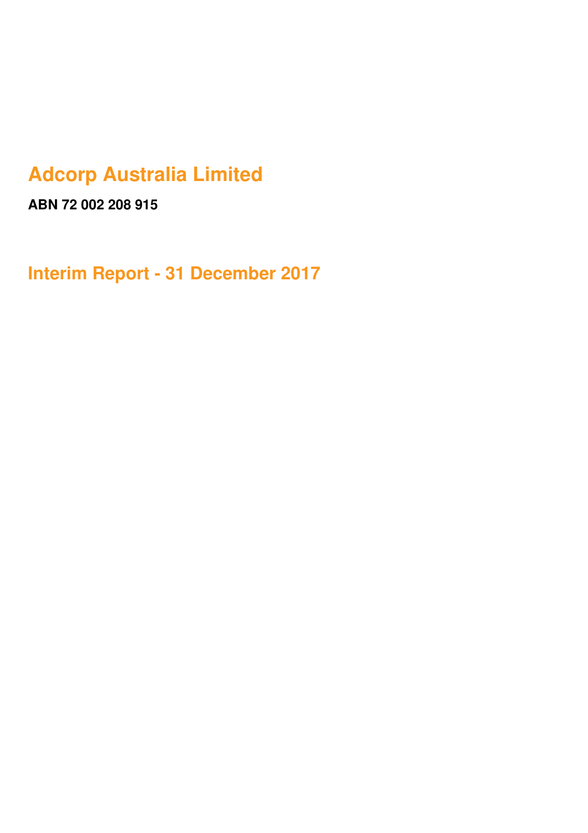# **Adcorp Australia Limited**

**ABN 72 002 208 915**

**Interim Report - 31 December 2017**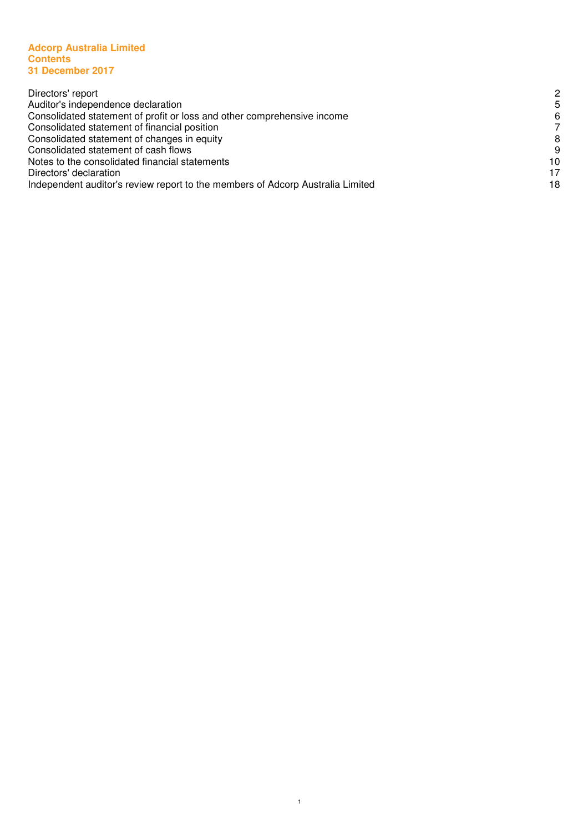#### **Adcorp Australia Limited Contents 31 December 2017**

| Directors' report                                                              | 2  |
|--------------------------------------------------------------------------------|----|
| Auditor's independence declaration                                             | 5  |
| Consolidated statement of profit or loss and other comprehensive income        | 6  |
| Consolidated statement of financial position                                   |    |
| Consolidated statement of changes in equity                                    | 8  |
| Consolidated statement of cash flows                                           | 9  |
| Notes to the consolidated financial statements                                 | 10 |
| Directors' declaration                                                         | 17 |
| Independent auditor's review report to the members of Adcorp Australia Limited | 18 |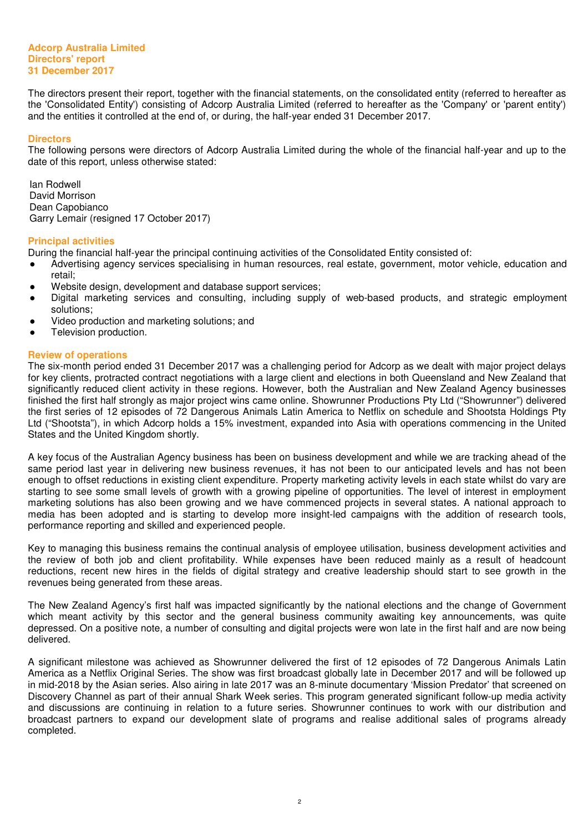### **Adcorp Australia Limited Directors' report 31 December 2017**

The directors present their report, together with the financial statements, on the consolidated entity (referred to hereafter as the 'Consolidated Entity') consisting of Adcorp Australia Limited (referred to hereafter as the 'Company' or 'parent entity') and the entities it controlled at the end of, or during, the half-year ended 31 December 2017.

#### **Directors**

The following persons were directors of Adcorp Australia Limited during the whole of the financial half-year and up to the date of this report, unless otherwise stated:

Ian Rodwell David Morrison Dean Capobianco Garry Lemair (resigned 17 October 2017)

#### **Principal activities**

During the financial half-year the principal continuing activities of the Consolidated Entity consisted of:

- Advertising agency services specialising in human resources, real estate, government, motor vehicle, education and retail;
- Website design, development and database support services;
- Digital marketing services and consulting, including supply of web-based products, and strategic employment solutions;
- Video production and marketing solutions; and
- Television production.

# **Review of operations**

The six-month period ended 31 December 2017 was a challenging period for Adcorp as we dealt with major project delays for key clients, protracted contract negotiations with a large client and elections in both Queensland and New Zealand that significantly reduced client activity in these regions. However, both the Australian and New Zealand Agency businesses finished the first half strongly as major project wins came online. Showrunner Productions Pty Ltd ("Showrunner") delivered the first series of 12 episodes of 72 Dangerous Animals Latin America to Netflix on schedule and Shootsta Holdings Pty Ltd ("Shootsta"), in which Adcorp holds a 15% investment, expanded into Asia with operations commencing in the United States and the United Kingdom shortly.

A key focus of the Australian Agency business has been on business development and while we are tracking ahead of the same period last year in delivering new business revenues, it has not been to our anticipated levels and has not been enough to offset reductions in existing client expenditure. Property marketing activity levels in each state whilst do vary are starting to see some small levels of growth with a growing pipeline of opportunities. The level of interest in employment marketing solutions has also been growing and we have commenced projects in several states. A national approach to media has been adopted and is starting to develop more insight-led campaigns with the addition of research tools, performance reporting and skilled and experienced people.

Key to managing this business remains the continual analysis of employee utilisation, business development activities and the review of both job and client profitability. While expenses have been reduced mainly as a result of headcount reductions, recent new hires in the fields of digital strategy and creative leadership should start to see growth in the revenues being generated from these areas.

The New Zealand Agency's first half was impacted significantly by the national elections and the change of Government which meant activity by this sector and the general business community awaiting key announcements, was quite depressed. On a positive note, a number of consulting and digital projects were won late in the first half and are now being delivered.

A significant milestone was achieved as Showrunner delivered the first of 12 episodes of 72 Dangerous Animals Latin America as a Netflix Original Series. The show was first broadcast globally late in December 2017 and will be followed up in mid-2018 by the Asian series. Also airing in late 2017 was an 8-minute documentary 'Mission Predator' that screened on Discovery Channel as part of their annual Shark Week series. This program generated significant follow-up media activity and discussions are continuing in relation to a future series. Showrunner continues to work with our distribution and broadcast partners to expand our development slate of programs and realise additional sales of programs already completed.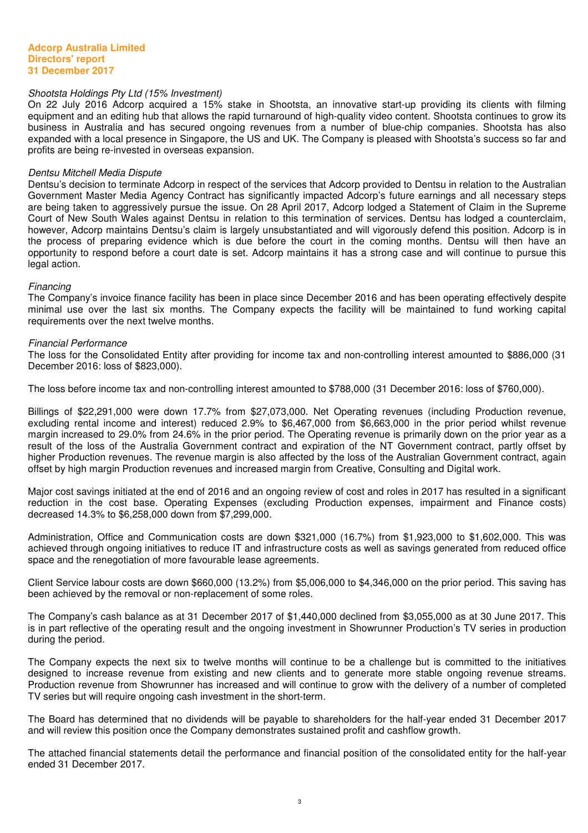# Shootsta Holdings Pty Ltd (15% Investment)

On 22 July 2016 Adcorp acquired a 15% stake in Shootsta, an innovative start-up providing its clients with filming equipment and an editing hub that allows the rapid turnaround of high-quality video content. Shootsta continues to grow its business in Australia and has secured ongoing revenues from a number of blue-chip companies. Shootsta has also expanded with a local presence in Singapore, the US and UK. The Company is pleased with Shootsta's success so far and profits are being re-invested in overseas expansion.

#### Dentsu Mitchell Media Dispute

Dentsu's decision to terminate Adcorp in respect of the services that Adcorp provided to Dentsu in relation to the Australian Government Master Media Agency Contract has significantly impacted Adcorp's future earnings and all necessary steps are being taken to aggressively pursue the issue. On 28 April 2017, Adcorp lodged a Statement of Claim in the Supreme Court of New South Wales against Dentsu in relation to this termination of services. Dentsu has lodged a counterclaim, however, Adcorp maintains Dentsu's claim is largely unsubstantiated and will vigorously defend this position. Adcorp is in the process of preparing evidence which is due before the court in the coming months. Dentsu will then have an opportunity to respond before a court date is set. Adcorp maintains it has a strong case and will continue to pursue this legal action.

#### **Financing**

The Company's invoice finance facility has been in place since December 2016 and has been operating effectively despite minimal use over the last six months. The Company expects the facility will be maintained to fund working capital requirements over the next twelve months.

#### Financial Performance

The loss for the Consolidated Entity after providing for income tax and non-controlling interest amounted to \$886,000 (31 December 2016: loss of \$823,000).

The loss before income tax and non-controlling interest amounted to \$788,000 (31 December 2016: loss of \$760,000).

Billings of \$22,291,000 were down 17.7% from \$27,073,000. Net Operating revenues (including Production revenue, excluding rental income and interest) reduced 2.9% to \$6,467,000 from \$6,663,000 in the prior period whilst revenue margin increased to 29.0% from 24.6% in the prior period. The Operating revenue is primarily down on the prior year as a result of the loss of the Australia Government contract and expiration of the NT Government contract, partly offset by higher Production revenues. The revenue margin is also affected by the loss of the Australian Government contract, again offset by high margin Production revenues and increased margin from Creative, Consulting and Digital work.

Major cost savings initiated at the end of 2016 and an ongoing review of cost and roles in 2017 has resulted in a significant reduction in the cost base. Operating Expenses (excluding Production expenses, impairment and Finance costs) decreased 14.3% to \$6,258,000 down from \$7,299,000.

Administration, Office and Communication costs are down \$321,000 (16.7%) from \$1,923,000 to \$1,602,000. This was achieved through ongoing initiatives to reduce IT and infrastructure costs as well as savings generated from reduced office space and the renegotiation of more favourable lease agreements.

Client Service labour costs are down \$660,000 (13.2%) from \$5,006,000 to \$4,346,000 on the prior period. This saving has been achieved by the removal or non-replacement of some roles.

The Company's cash balance as at 31 December 2017 of \$1,440,000 declined from \$3,055,000 as at 30 June 2017. This is in part reflective of the operating result and the ongoing investment in Showrunner Production's TV series in production during the period.

The Company expects the next six to twelve months will continue to be a challenge but is committed to the initiatives designed to increase revenue from existing and new clients and to generate more stable ongoing revenue streams. Production revenue from Showrunner has increased and will continue to grow with the delivery of a number of completed TV series but will require ongoing cash investment in the short-term.

The Board has determined that no dividends will be payable to shareholders for the half-year ended 31 December 2017 and will review this position once the Company demonstrates sustained profit and cashflow growth.

The attached financial statements detail the performance and financial position of the consolidated entity for the half-year ended 31 December 2017.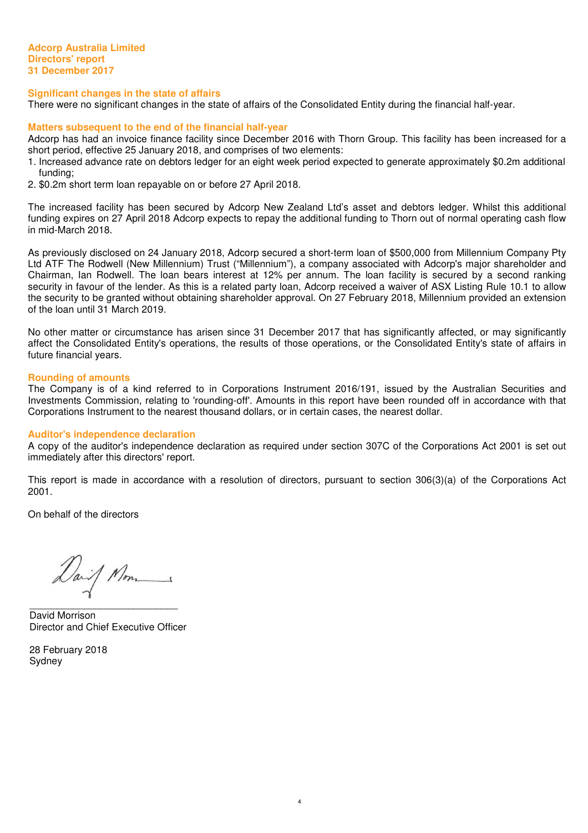**Adcorp Australia Limited Directors' report 31 December 2017**

#### **Significant changes in the state of affairs**

There were no significant changes in the state of affairs of the Consolidated Entity during the financial half-year.

#### **Matters subsequent to the end of the financial half-year**

Adcorp has had an invoice finance facility since December 2016 with Thorn Group. This facility has been increased for a short period, effective 25 January 2018, and comprises of two elements:

- 1. Increased advance rate on debtors ledger for an eight week period expected to generate approximately \$0.2m additional funding;
- 2. \$0.2m short term loan repayable on or before 27 April 2018.

The increased facility has been secured by Adcorp New Zealand Ltd's asset and debtors ledger. Whilst this additional funding expires on 27 April 2018 Adcorp expects to repay the additional funding to Thorn out of normal operating cash flow in mid-March 2018.

As previously disclosed on 24 January 2018, Adcorp secured a short-term loan of \$500,000 from Millennium Company Pty Ltd ATF The Rodwell (New Millennium) Trust ("Millennium"), a company associated with Adcorp's major shareholder and Chairman, Ian Rodwell. The loan bears interest at 12% per annum. The loan facility is secured by a second ranking security in favour of the lender. As this is a related party loan, Adcorp received a waiver of ASX Listing Rule 10.1 to allow the security to be granted without obtaining shareholder approval. On 27 February 2018, Millennium provided an extension of the loan until 31 March 2019.

No other matter or circumstance has arisen since 31 December 2017 that has significantly affected, or may significantly affect the Consolidated Entity's operations, the results of those operations, or the Consolidated Entity's state of affairs in future financial years.

#### **Rounding of amounts**

The Company is of a kind referred to in Corporations Instrument 2016/191, issued by the Australian Securities and Investments Commission, relating to 'rounding-off'. Amounts in this report have been rounded off in accordance with that Corporations Instrument to the nearest thousand dollars, or in certain cases, the nearest dollar.

#### **Auditor's independence declaration**

A copy of the auditor's independence declaration as required under section 307C of the Corporations Act 2001 is set out immediately after this directors' report.

This report is made in accordance with a resolution of directors, pursuant to section 306(3)(a) of the Corporations Act 2001.

4

On behalf of the directors

Daif Mon

 $\overline{\phantom{a}}$  , and the set of the set of the set of the set of the set of the set of the set of the set of the set of the set of the set of the set of the set of the set of the set of the set of the set of the set of the s David Morrison Director and Chief Executive Officer

28 February 2018 Sydney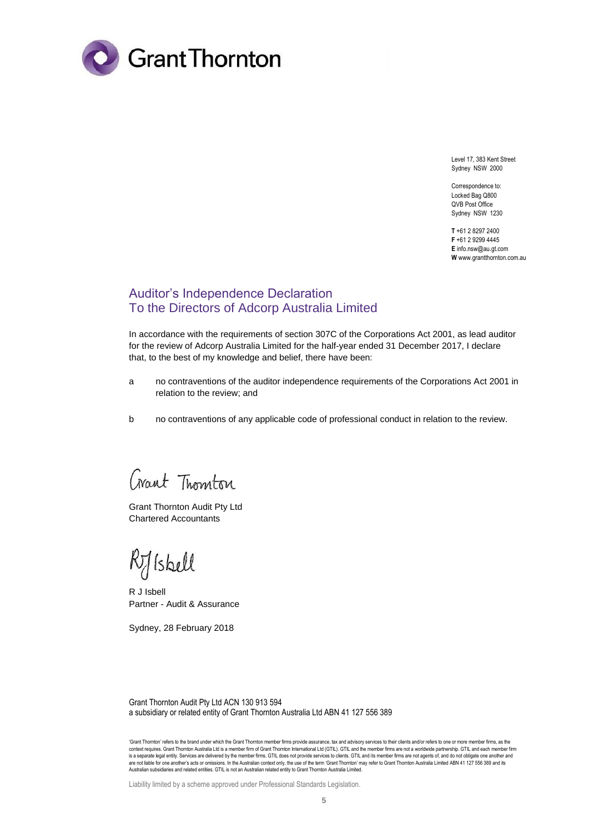

Level 17, 383 Kent Street Sydney NSW 2000

Correspondence to: Locked Bag Q800 QVB Post Office Sydney NSW 1230

**T** +61 2 8297 2400 **F** +61 2 9299 4445 **E** info.nsw@au.gt.com **W** www.grantthornton.com.au

# Auditor's Independence Declaration To the Directors of Adcorp Australia Limited

In accordance with the requirements of section 307C of the Corporations Act 2001, as lead auditor for the review of Adcorp Australia Limited for the half-year ended 31 December 2017, I declare that, to the best of my knowledge and belief, there have been:

- a no contraventions of the auditor independence requirements of the Corporations Act 2001 in relation to the review; and
- b no contraventions of any applicable code of professional conduct in relation to the review.

Crant Thomton

Grant Thornton Audit Pty Ltd Chartered Accountants

Rylskell

R J Isbell Partner - Audit & Assurance

Sydney, 28 February 2018

Grant Thornton Audit Pty Ltd ACN 130 913 594 a subsidiary or related entity of Grant Thornton Australia Ltd ABN 41 127 556 389

'Grant Thornton' refers to the brand under which the Grant Thornton member firms provide assurance, tax and advisory services to their clients and/or refers to one or more member firms, as the context requires. Grant Thornton Australia Ltd is a member firm of Grant Thornton International Ltd (GTIL). GTIL and the member firms are not a worldwide partnership. GTIL and each member firm is a separate legal entity. Services are delivered by the member firms. GTIL does not provide services to clients. GTIL and its member firms are not agents of, and do not obligate one another and are not liable for one another's acts or omissions. In the Australian context only, the use of the term 'Grant Thornton' may refer to Grant Thornton Australia Limited ABN 41 127 556 389 and its<br>Australian subsidiaries and

Liability limited by a scheme approved under Professional Standards Legislation.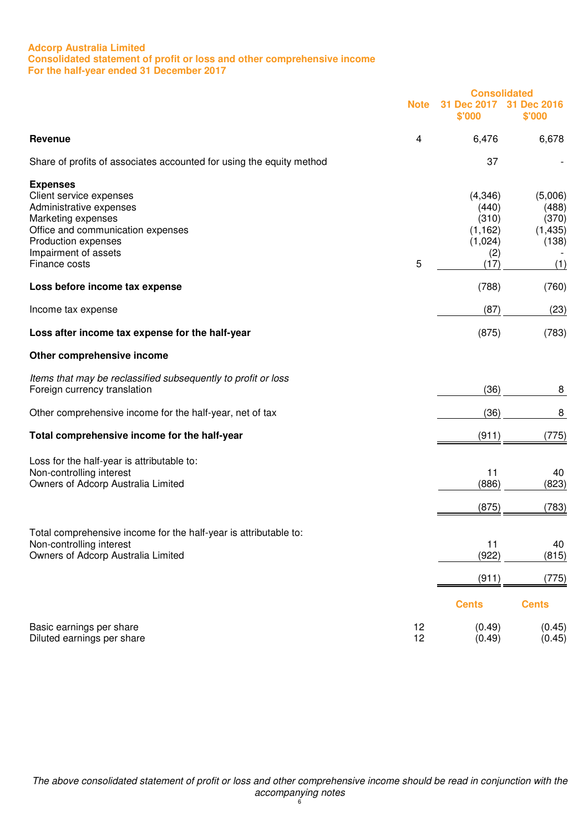# **Adcorp Australia Limited Consolidated statement of profit or loss and other comprehensive income For the half-year ended 31 December 2017**

|                                                                                                                                                                                                  |             | <b>Consolidated</b>                                             |                                                       |
|--------------------------------------------------------------------------------------------------------------------------------------------------------------------------------------------------|-------------|-----------------------------------------------------------------|-------------------------------------------------------|
|                                                                                                                                                                                                  | <b>Note</b> | <b>Dec 2017</b><br>\$'000                                       | 31<br><b>Dec 2016</b><br>\$'000                       |
| <b>Revenue</b>                                                                                                                                                                                   | 4           | 6,476                                                           | 6,678                                                 |
| Share of profits of associates accounted for using the equity method                                                                                                                             |             | 37                                                              |                                                       |
| <b>Expenses</b><br>Client service expenses<br>Administrative expenses<br>Marketing expenses<br>Office and communication expenses<br>Production expenses<br>Impairment of assets<br>Finance costs | 5           | (4,346)<br>(440)<br>(310)<br>(1, 162)<br>(1,024)<br>(2)<br>(17) | (5,006)<br>(488)<br>(370)<br>(1, 435)<br>(138)<br>(1) |
| Loss before income tax expense                                                                                                                                                                   |             | (788)                                                           | (760)                                                 |
| Income tax expense                                                                                                                                                                               |             | (87)                                                            | (23)                                                  |
| Loss after income tax expense for the half-year                                                                                                                                                  |             | (875)                                                           | (783)                                                 |
| Other comprehensive income                                                                                                                                                                       |             |                                                                 |                                                       |
| Items that may be reclassified subsequently to profit or loss<br>Foreign currency translation                                                                                                    |             | (36)                                                            | 8                                                     |
| Other comprehensive income for the half-year, net of tax                                                                                                                                         |             | (36)                                                            | 8                                                     |
| Total comprehensive income for the half-year                                                                                                                                                     |             | (911)                                                           | (775)                                                 |
| Loss for the half-year is attributable to:<br>Non-controlling interest<br>Owners of Adcorp Australia Limited                                                                                     |             | 11<br>(886)<br>(875)                                            | 40<br>(823)<br>(783)                                  |
| Total comprehensive income for the half-year is attributable to:<br>Non-controlling interest<br>Owners of Adcorp Australia Limited                                                               |             | 11<br>(922)                                                     | 40<br>(815)                                           |
|                                                                                                                                                                                                  |             | (911)                                                           | (775)                                                 |
|                                                                                                                                                                                                  |             | <b>Cents</b>                                                    | <b>Cents</b>                                          |
| Basic earnings per share<br>Diluted earnings per share                                                                                                                                           | 12<br>12    | (0.49)<br>(0.49)                                                | (0.45)<br>(0.45)                                      |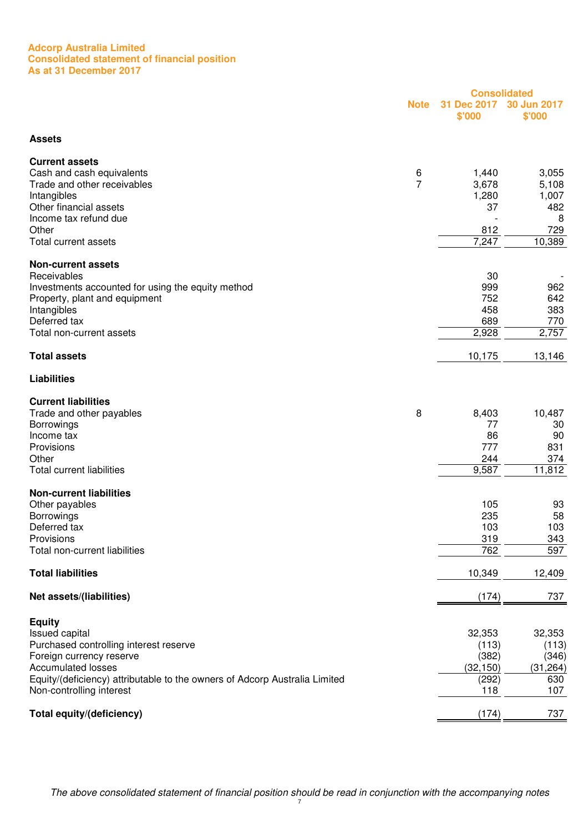#### **Adcorp Australia Limited Consolidated statement of financial position As at 31 December 2017**

|                                                                            |                |                       | <b>Consolidated</b>   |
|----------------------------------------------------------------------------|----------------|-----------------------|-----------------------|
|                                                                            | <b>Note</b>    | 31 Dec 2017<br>\$'000 | 30 Jun 2017<br>\$'000 |
| <b>Assets</b>                                                              |                |                       |                       |
| <b>Current assets</b>                                                      |                |                       |                       |
| Cash and cash equivalents                                                  | 6              | 1,440                 | 3,055                 |
| Trade and other receivables                                                | $\overline{7}$ | 3,678                 | 5,108                 |
| Intangibles                                                                |                | 1,280                 | 1,007                 |
| Other financial assets                                                     |                | 37                    | 482                   |
| Income tax refund due                                                      |                |                       | 8                     |
| Other                                                                      |                | 812                   | 729                   |
| <b>Total current assets</b>                                                |                | 7,247                 | 10,389                |
| <b>Non-current assets</b>                                                  |                |                       |                       |
| Receivables                                                                |                | 30                    |                       |
| Investments accounted for using the equity method                          |                | 999                   | 962                   |
| Property, plant and equipment                                              |                | 752                   | 642                   |
| Intangibles                                                                |                | 458                   | 383                   |
| Deferred tax                                                               |                | 689                   | 770                   |
| Total non-current assets                                                   |                | 2,928                 | 2,757                 |
| <b>Total assets</b>                                                        |                | 10,175                | 13,146                |
| <b>Liabilities</b>                                                         |                |                       |                       |
| <b>Current liabilities</b>                                                 |                |                       |                       |
| Trade and other payables                                                   | 8              | 8,403                 | 10,487                |
| Borrowings                                                                 |                | 77                    | 30                    |
| Income tax                                                                 |                | 86                    | 90                    |
| Provisions                                                                 |                | 777                   | 831                   |
| Other                                                                      |                | 244                   | 374                   |
| <b>Total current liabilities</b>                                           |                | 9,587                 | 11,812                |
| <b>Non-current liabilities</b>                                             |                |                       |                       |
| Other payables                                                             |                | 105                   | 93                    |
| <b>Borrowings</b>                                                          |                | 235                   | 58                    |
| Deferred tax                                                               |                | 103                   | 103                   |
| Provisions                                                                 |                | 319                   | 343                   |
| Total non-current liabilities                                              |                | 762                   | 597                   |
| <b>Total liabilities</b>                                                   |                | 10,349                | 12,409                |
| Net assets/(liabilities)                                                   |                | (174)                 | 737                   |
|                                                                            |                |                       |                       |
| <b>Equity</b><br><b>Issued capital</b>                                     |                | 32,353                | 32,353                |
| Purchased controlling interest reserve                                     |                | (113)                 | (113)                 |
| Foreign currency reserve                                                   |                | (382)                 | (346)                 |
| <b>Accumulated losses</b>                                                  |                | (32, 150)             | (31, 264)             |
| Equity/(deficiency) attributable to the owners of Adcorp Australia Limited |                | (292)                 | 630                   |
| Non-controlling interest                                                   |                | 118                   | 107                   |
|                                                                            |                |                       |                       |
| Total equity/(deficiency)                                                  |                | (174)                 | 737                   |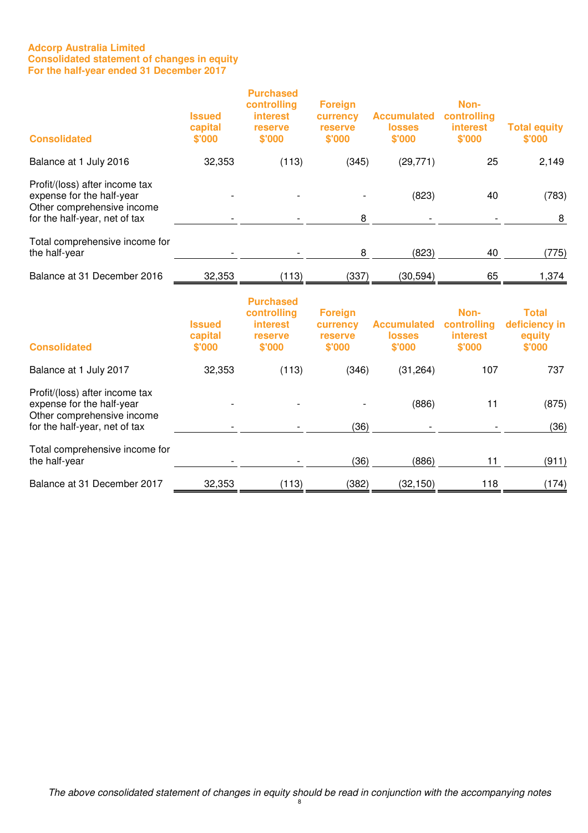# **Adcorp Australia Limited Consolidated statement of changes in equity For the half-year ended 31 December 2017**

| <b>Consolidated</b>                                                                                                        | <b>Issued</b><br>capital<br>\$'000 | <b>Purchased</b><br>controlling<br><b>interest</b><br>reserve<br>\$'000 | <b>Foreign</b><br>currency<br>reserve<br>\$'000 | <b>Accumulated</b><br><b>losses</b><br>\$'000 | Non-<br>controlling<br>interest<br>\$'000        | <b>Total equity</b><br>\$'000                     |
|----------------------------------------------------------------------------------------------------------------------------|------------------------------------|-------------------------------------------------------------------------|-------------------------------------------------|-----------------------------------------------|--------------------------------------------------|---------------------------------------------------|
| Balance at 1 July 2016                                                                                                     | 32,353                             | (113)                                                                   | (345)                                           | (29, 771)                                     | 25                                               | 2,149                                             |
| Profit/(loss) after income tax<br>expense for the half-year<br>Other comprehensive income<br>for the half-year, net of tax |                                    |                                                                         | 8                                               | (823)                                         | 40                                               | (783)<br>8                                        |
| Total comprehensive income for<br>the half-year                                                                            |                                    |                                                                         | 8                                               | (823)                                         | 40                                               | (775)                                             |
| Balance at 31 December 2016                                                                                                | 32,353                             | (113)                                                                   | (337)                                           | (30, 594)                                     | 65                                               | 1,374                                             |
| <b>Consolidated</b>                                                                                                        | <b>Issued</b><br>capital<br>\$'000 | <b>Purchased</b><br>controlling<br><b>interest</b><br>reserve<br>\$'000 | <b>Foreign</b><br>currency<br>reserve<br>\$'000 | <b>Accumulated</b><br><b>losses</b><br>\$'000 | Non-<br>controlling<br><b>interest</b><br>\$'000 | <b>Total</b><br>deficiency in<br>equity<br>\$'000 |
| Balance at 1 July 2017                                                                                                     | 32,353                             | (113)                                                                   | (346)                                           | (31, 264)                                     | 107                                              | 737                                               |
| Profit/(loss) after income tax<br>expense for the half-year<br>Other comprehensive income<br>for the half-year, net of tax |                                    |                                                                         | (36)                                            | (886)                                         | 11                                               | (875)<br>(36)                                     |
| Total comprehensive income for<br>the half-year                                                                            |                                    |                                                                         | (36)                                            | (886)                                         | 11                                               | (911)                                             |
| Balance at 31 December 2017                                                                                                | 32,353                             | (113)                                                                   | (382)                                           | (32, 150)                                     | 118                                              | (174)                                             |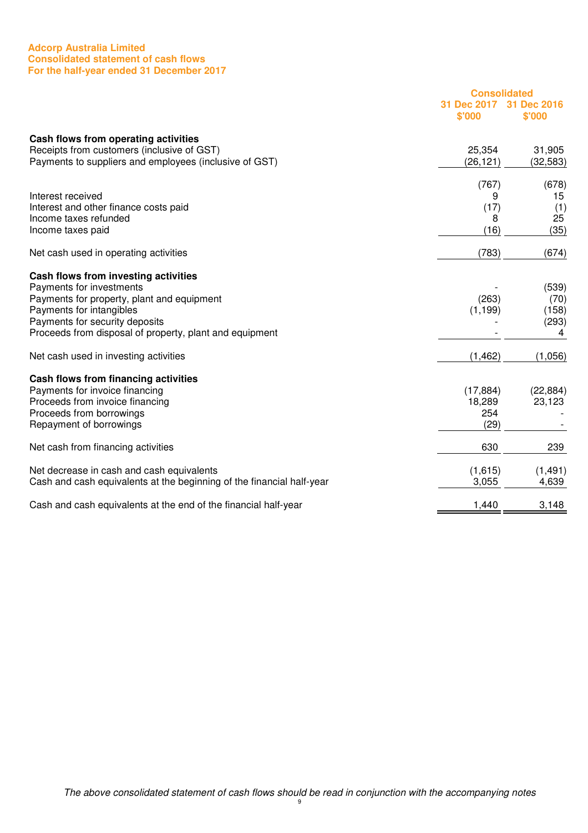# **Adcorp Australia Limited Consolidated statement of cash flows For the half-year ended 31 December 2017**

|                                                                                    | <b>Consolidated</b>   |                       |
|------------------------------------------------------------------------------------|-----------------------|-----------------------|
|                                                                                    | 31 Dec 2017<br>\$'000 | 31 Dec 2016<br>\$'000 |
| Cash flows from operating activities<br>Receipts from customers (inclusive of GST) | 25,354                | 31,905                |
| Payments to suppliers and employees (inclusive of GST)                             | (26, 121)             | (32, 583)             |
|                                                                                    | (767)                 | (678)                 |
| Interest received                                                                  | 9                     | 15                    |
| Interest and other finance costs paid<br>Income taxes refunded                     | (17)<br>8             | (1)<br>25             |
| Income taxes paid                                                                  | (16)                  | (35)                  |
| Net cash used in operating activities                                              | (783)                 | (674)                 |
| Cash flows from investing activities                                               |                       |                       |
| Payments for investments                                                           |                       | (539)                 |
| Payments for property, plant and equipment<br>Payments for intangibles             | (263)<br>(1, 199)     | (70)<br>(158)         |
| Payments for security deposits                                                     |                       | (293)                 |
| Proceeds from disposal of property, plant and equipment                            |                       | 4                     |
| Net cash used in investing activities                                              | (1, 462)              | (1,056)               |
| Cash flows from financing activities                                               |                       |                       |
| Payments for invoice financing                                                     | (17, 884)             | (22, 884)             |
| Proceeds from invoice financing                                                    | 18,289<br>254         | 23,123                |
| Proceeds from borrowings<br>Repayment of borrowings                                | (29)                  |                       |
|                                                                                    | 630                   | 239                   |
| Net cash from financing activities                                                 |                       |                       |
| Net decrease in cash and cash equivalents                                          | (1,615)               | (1, 491)              |
| Cash and cash equivalents at the beginning of the financial half-year              | 3,055                 | 4,639                 |
| Cash and cash equivalents at the end of the financial half-year                    | 1,440                 | 3,148                 |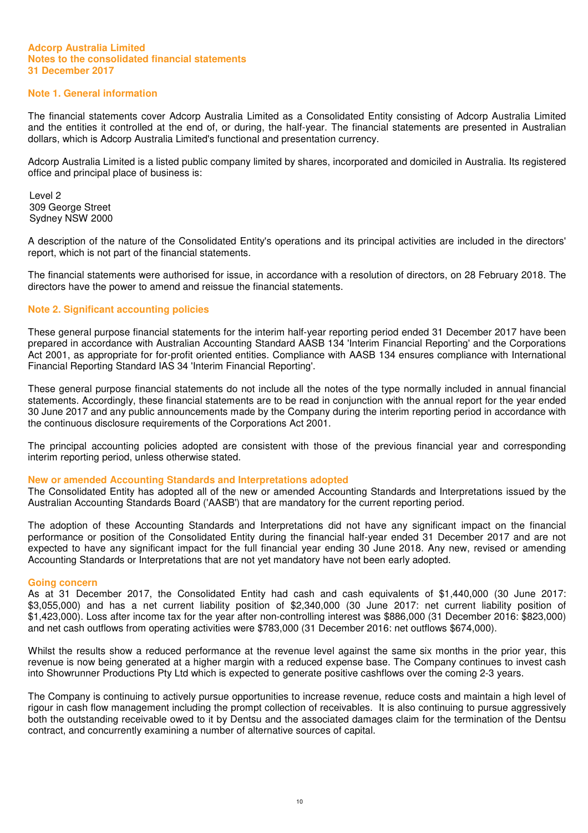# **Note 1. General information**

The financial statements cover Adcorp Australia Limited as a Consolidated Entity consisting of Adcorp Australia Limited and the entities it controlled at the end of, or during, the half-year. The financial statements are presented in Australian dollars, which is Adcorp Australia Limited's functional and presentation currency.

Adcorp Australia Limited is a listed public company limited by shares, incorporated and domiciled in Australia. Its registered office and principal place of business is:

Level 2 309 George Street Sydney NSW 2000

A description of the nature of the Consolidated Entity's operations and its principal activities are included in the directors' report, which is not part of the financial statements.

The financial statements were authorised for issue, in accordance with a resolution of directors, on 28 February 2018. The directors have the power to amend and reissue the financial statements.

# **Note 2. Significant accounting policies**

These general purpose financial statements for the interim half-year reporting period ended 31 December 2017 have been prepared in accordance with Australian Accounting Standard AASB 134 'Interim Financial Reporting' and the Corporations Act 2001, as appropriate for for-profit oriented entities. Compliance with AASB 134 ensures compliance with International Financial Reporting Standard IAS 34 'Interim Financial Reporting'.

These general purpose financial statements do not include all the notes of the type normally included in annual financial statements. Accordingly, these financial statements are to be read in conjunction with the annual report for the year ended 30 June 2017 and any public announcements made by the Company during the interim reporting period in accordance with the continuous disclosure requirements of the Corporations Act 2001.

The principal accounting policies adopted are consistent with those of the previous financial year and corresponding interim reporting period, unless otherwise stated.

#### **New or amended Accounting Standards and Interpretations adopted**

The Consolidated Entity has adopted all of the new or amended Accounting Standards and Interpretations issued by the Australian Accounting Standards Board ('AASB') that are mandatory for the current reporting period.

The adoption of these Accounting Standards and Interpretations did not have any significant impact on the financial performance or position of the Consolidated Entity during the financial half-year ended 31 December 2017 and are not expected to have any significant impact for the full financial year ending 30 June 2018. Any new, revised or amending Accounting Standards or Interpretations that are not yet mandatory have not been early adopted.

#### **Going concern**

As at 31 December 2017, the Consolidated Entity had cash and cash equivalents of \$1,440,000 (30 June 2017: \$3,055,000) and has a net current liability position of \$2,340,000 (30 June 2017: net current liability position of \$1,423,000). Loss after income tax for the year after non-controlling interest was \$886,000 (31 December 2016: \$823,000) and net cash outflows from operating activities were \$783,000 (31 December 2016: net outflows \$674,000).

Whilst the results show a reduced performance at the revenue level against the same six months in the prior year, this revenue is now being generated at a higher margin with a reduced expense base. The Company continues to invest cash into Showrunner Productions Pty Ltd which is expected to generate positive cashflows over the coming 2-3 years.

The Company is continuing to actively pursue opportunities to increase revenue, reduce costs and maintain a high level of rigour in cash flow management including the prompt collection of receivables. It is also continuing to pursue aggressively both the outstanding receivable owed to it by Dentsu and the associated damages claim for the termination of the Dentsu contract, and concurrently examining a number of alternative sources of capital.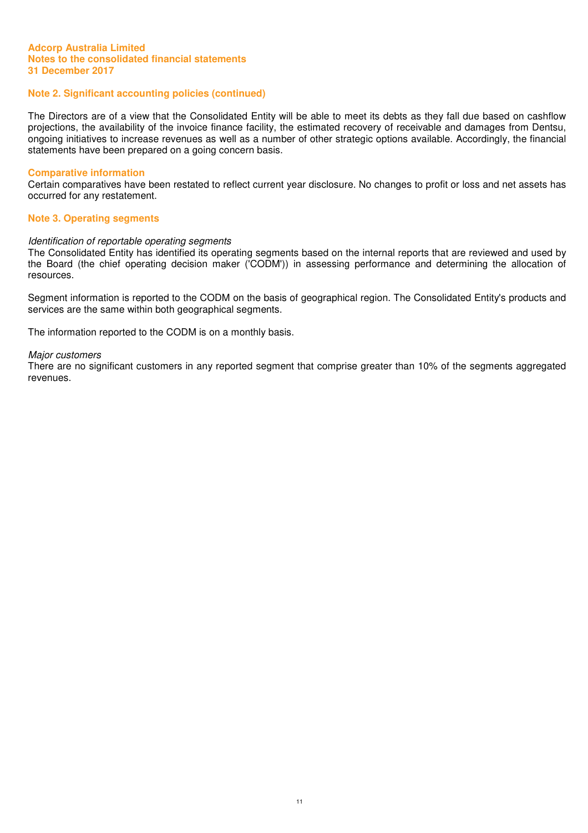# **Note 2. Significant accounting policies (continued)**

The Directors are of a view that the Consolidated Entity will be able to meet its debts as they fall due based on cashflow projections, the availability of the invoice finance facility, the estimated recovery of receivable and damages from Dentsu, ongoing initiatives to increase revenues as well as a number of other strategic options available. Accordingly, the financial statements have been prepared on a going concern basis.

#### **Comparative information**

Certain comparatives have been restated to reflect current year disclosure. No changes to profit or loss and net assets has occurred for any restatement.

#### **Note 3. Operating segments**

#### Identification of reportable operating segments

The Consolidated Entity has identified its operating segments based on the internal reports that are reviewed and used by the Board (the chief operating decision maker ('CODM')) in assessing performance and determining the allocation of resources.

Segment information is reported to the CODM on the basis of geographical region. The Consolidated Entity's products and services are the same within both geographical segments.

The information reported to the CODM is on a monthly basis.

#### Major customers

There are no significant customers in any reported segment that comprise greater than 10% of the segments aggregated revenues.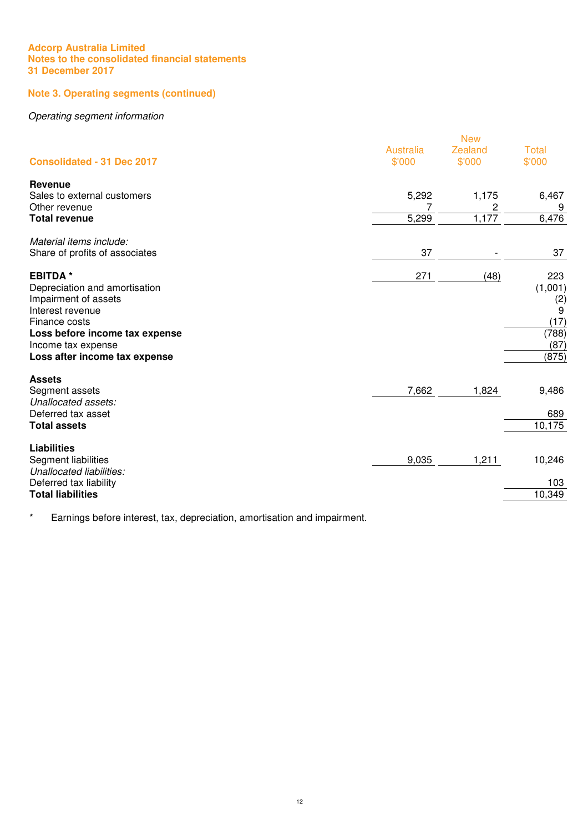# **Note 3. Operating segments (continued)**

# Operating segment information

|                                   |                            | <b>New</b>        |                        |
|-----------------------------------|----------------------------|-------------------|------------------------|
| <b>Consolidated - 31 Dec 2017</b> | <b>Australia</b><br>\$'000 | Zealand<br>\$'000 | <b>Total</b><br>\$'000 |
|                                   |                            |                   |                        |
| Revenue                           |                            |                   |                        |
| Sales to external customers       | 5,292                      | 1,175             | 6,467                  |
| Other revenue                     | 7                          | 2                 | 9                      |
| <b>Total revenue</b>              | 5,299                      | 1,177             | 6,476                  |
| Material items include.           |                            |                   |                        |
| Share of profits of associates    | 37                         |                   | 37                     |
| <b>EBITDA*</b>                    | 271                        | (48)              | 223                    |
| Depreciation and amortisation     |                            |                   | (1,001)                |
| Impairment of assets              |                            |                   |                        |
| Interest revenue                  |                            |                   | $\binom{2}{9}$         |
| Finance costs                     |                            |                   | (17)                   |
| Loss before income tax expense    |                            |                   | (788)                  |
| Income tax expense                |                            |                   | (87)                   |
| Loss after income tax expense     |                            |                   | (875)                  |
| <b>Assets</b>                     |                            |                   |                        |
| Segment assets                    | 7,662                      | 1,824             | 9,486                  |
| Unallocated assets:               |                            |                   |                        |
| Deferred tax asset                |                            |                   | 689                    |
| <b>Total assets</b>               |                            |                   | 10,175                 |
| <b>Liabilities</b>                |                            |                   |                        |
| Segment liabilities               | 9,035                      | 1,211             | 10,246                 |
| Unallocated liabilities.          |                            |                   |                        |
| Deferred tax liability            |                            |                   | 103                    |
| <b>Total liabilities</b>          |                            |                   | 10,349                 |

\* Earnings before interest, tax, depreciation, amortisation and impairment.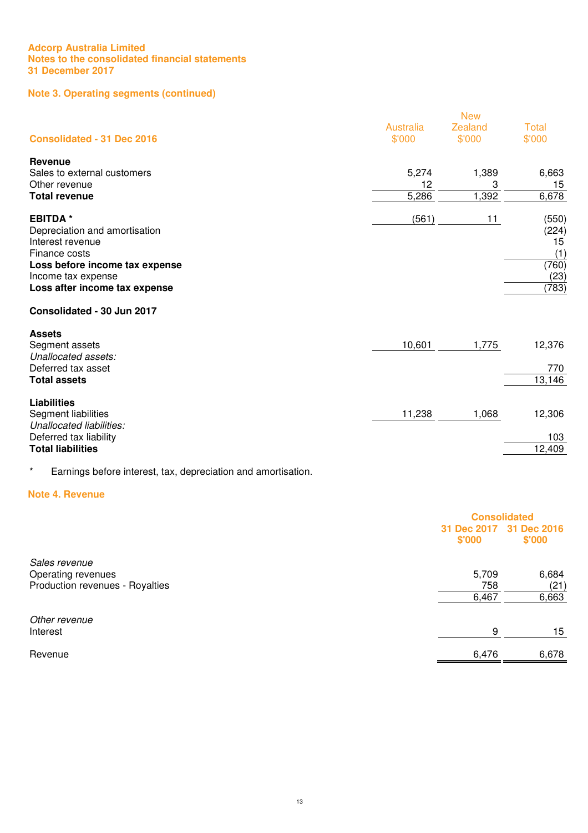# **Note 3. Operating segments (continued)**

|                                                    |                            | <b>New</b>               |                        |
|----------------------------------------------------|----------------------------|--------------------------|------------------------|
| <b>Consolidated - 31 Dec 2016</b>                  | <b>Australia</b><br>\$'000 | <b>Zealand</b><br>\$'000 | <b>Total</b><br>\$'000 |
| Revenue                                            |                            |                          |                        |
| Sales to external customers<br>Other revenue       | 5,274<br>12                | 1,389<br>3               | 6,663<br>15            |
| <b>Total revenue</b>                               | 5,286                      | 1,392                    | 6,678                  |
| <b>EBITDA*</b>                                     | (561)                      | 11                       | (550)                  |
| Depreciation and amortisation                      |                            |                          | (224)                  |
| Interest revenue<br>Finance costs                  |                            |                          | 15<br>(1)              |
| Loss before income tax expense                     |                            |                          | (760)                  |
| Income tax expense                                 |                            |                          | (23)                   |
| Loss after income tax expense                      |                            |                          | (783)                  |
| Consolidated - 30 Jun 2017                         |                            |                          |                        |
| <b>Assets</b>                                      |                            |                          |                        |
| Segment assets<br>Unallocated assets:              | 10,601                     | 1,775                    | 12,376                 |
| Deferred tax asset                                 |                            |                          | 770                    |
| <b>Total assets</b>                                |                            |                          | 13,146                 |
| <b>Liabilities</b>                                 |                            |                          |                        |
| Segment liabilities                                | 11,238                     | 1,068                    | 12,306                 |
| Unallocated liabilities.<br>Deferred tax liability |                            |                          | 103                    |
| <b>Total liabilities</b>                           |                            |                          | 12,409                 |
|                                                    |                            |                          |                        |

# \* Earnings before interest, tax, depreciation and amortisation.

#### **Note 4. Revenue**

|                                 | <b>Consolidated</b>   |                       |
|---------------------------------|-----------------------|-----------------------|
|                                 | 31 Dec 2017<br>\$'000 | 31 Dec 2016<br>\$'000 |
| Sales revenue                   |                       |                       |
| Operating revenues              | 5,709                 | 6,684                 |
| Production revenues - Royalties | 758                   | (21)                  |
|                                 | 6,467                 | 6,663                 |
| Other revenue                   |                       |                       |
| Interest                        | 9                     | 15                    |
| Revenue                         | 6,476                 | 6,678                 |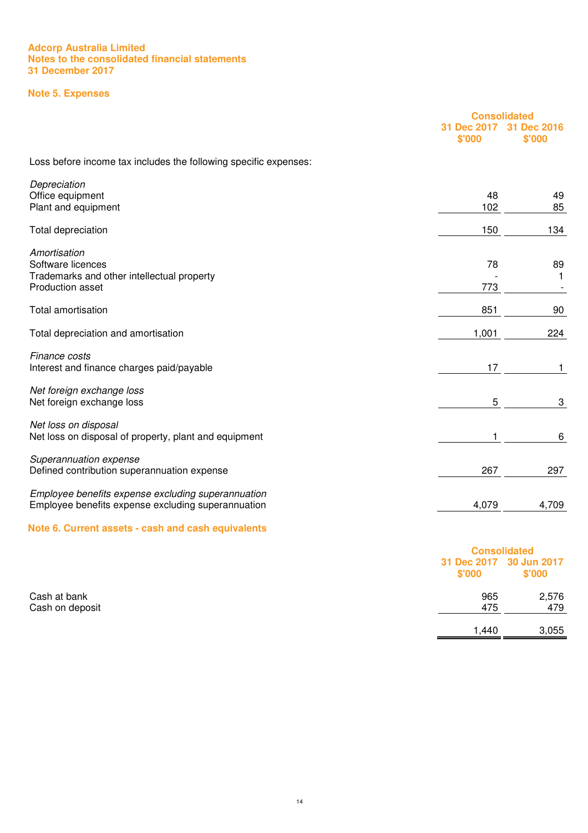# **Note 5. Expenses**

|                                                                                                          |                       | <b>Consolidated</b>                 |  |
|----------------------------------------------------------------------------------------------------------|-----------------------|-------------------------------------|--|
|                                                                                                          | 31 Dec 2017<br>\$'000 | 31 Dec 2016<br>\$'000               |  |
| Loss before income tax includes the following specific expenses:                                         |                       |                                     |  |
| Depreciation<br>Office equipment                                                                         | 48                    | 49                                  |  |
| Plant and equipment                                                                                      | 102                   | 85                                  |  |
| Total depreciation                                                                                       | 150                   | 134                                 |  |
| Amortisation<br>Software licences<br>Trademarks and other intellectual property<br>Production asset      | 78<br>773             | 89<br>1<br>$\overline{\phantom{a}}$ |  |
| <b>Total amortisation</b>                                                                                | 851                   | 90                                  |  |
| Total depreciation and amortisation                                                                      | 1,001                 | 224                                 |  |
| Finance costs<br>Interest and finance charges paid/payable                                               | 17                    | 1                                   |  |
| Net foreign exchange loss<br>Net foreign exchange loss                                                   | 5                     | 3                                   |  |
| Net loss on disposal<br>Net loss on disposal of property, plant and equipment                            |                       | 6                                   |  |
| Superannuation expense<br>Defined contribution superannuation expense                                    | 267                   | 297                                 |  |
| Employee benefits expense excluding superannuation<br>Employee benefits expense excluding superannuation | 4,079                 | 4,709                               |  |
| Note 6. Current assets - cash and cash equivalents                                                       |                       |                                     |  |

|                 |                                   | <b>Consolidated</b> |  |
|-----------------|-----------------------------------|---------------------|--|
|                 | 31 Dec 2017 30 Jun 2017<br>\$'000 | \$'000              |  |
| Cash at bank    | 965                               | 2,576               |  |
| Cash on deposit | 475                               | 479                 |  |
|                 | 1,440                             | 3,055               |  |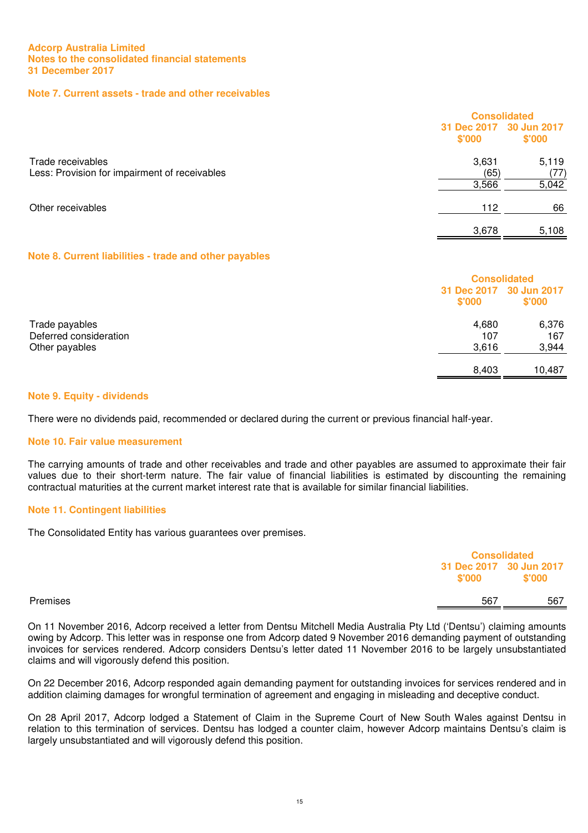# **Note 7. Current assets - trade and other receivables**

|                                                                    |                                   | <b>Consolidated</b> |  |
|--------------------------------------------------------------------|-----------------------------------|---------------------|--|
|                                                                    | 31 Dec 2017 30 Jun 2017<br>\$'000 | \$'000              |  |
| Trade receivables<br>Less: Provision for impairment of receivables | 3,631<br>(65)                     | 5,119<br>(77)       |  |
|                                                                    | 3,566                             | 5,042               |  |
| Other receivables                                                  | 112                               | 66                  |  |
|                                                                    | 3,678                             | 5,108               |  |

# **Note 8. Current liabilities - trade and other payables**

|                                          | <b>Consolidated</b>               |              |
|------------------------------------------|-----------------------------------|--------------|
|                                          | 31 Dec 2017 30 Jun 2017<br>\$'000 | \$'000       |
| Trade payables<br>Deferred consideration | 4,680<br>107                      | 6,376<br>167 |
| Other payables                           | 3,616                             | 3,944        |
|                                          | 8,403                             | 10.487       |

# **Note 9. Equity - dividends**

There were no dividends paid, recommended or declared during the current or previous financial half-year.

#### **Note 10. Fair value measurement**

The carrying amounts of trade and other receivables and trade and other payables are assumed to approximate their fair values due to their short-term nature. The fair value of financial liabilities is estimated by discounting the remaining contractual maturities at the current market interest rate that is available for similar financial liabilities.

#### **Note 11. Contingent liabilities**

The Consolidated Entity has various guarantees over premises.

| \$'000   | 31 Dec 2017 30 Jun 2017<br>\$'000 |
|----------|-----------------------------------|
| Premises | 567<br>567                        |

On 11 November 2016, Adcorp received a letter from Dentsu Mitchell Media Australia Pty Ltd ('Dentsu') claiming amounts owing by Adcorp. This letter was in response one from Adcorp dated 9 November 2016 demanding payment of outstanding invoices for services rendered. Adcorp considers Dentsu's letter dated 11 November 2016 to be largely unsubstantiated claims and will vigorously defend this position.

On 22 December 2016, Adcorp responded again demanding payment for outstanding invoices for services rendered and in addition claiming damages for wrongful termination of agreement and engaging in misleading and deceptive conduct.

On 28 April 2017, Adcorp lodged a Statement of Claim in the Supreme Court of New South Wales against Dentsu in relation to this termination of services. Dentsu has lodged a counter claim, however Adcorp maintains Dentsu's claim is largely unsubstantiated and will vigorously defend this position.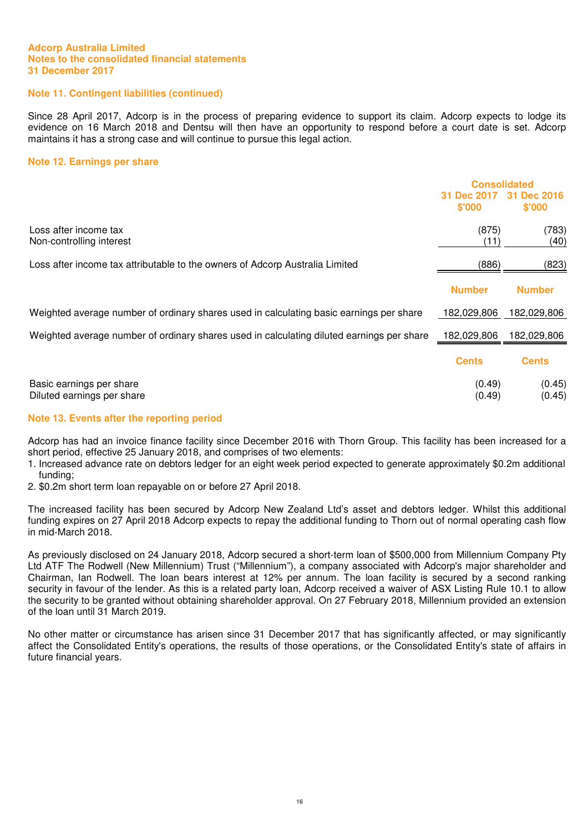# **Note 11. Contingent liabilities (continued)**

Since 28 April 2017, Adcorp is in the process of preparing evidence to support its claim. Adcorp expects to lodge its evidence on 16 March 2018 and Dentsu will then have an opportunity to respond before a court date is set. Adcorp maintains it has a strong case and will continue to pursue this legal action.

#### **Note 12. Earnings per share**

|                                                                                           | <b>Consolidated</b>          |                       |
|-------------------------------------------------------------------------------------------|------------------------------|-----------------------|
|                                                                                           | <b>31 Dec 2017</b><br>\$'000 | 31 Dec 2016<br>\$'000 |
| Loss after income tax<br>Non-controlling interest                                         | (875)<br>(11)                | (783)<br>(40)         |
| Loss after income tax attributable to the owners of Adcorp Australia Limited              | (886)                        | (823)                 |
|                                                                                           | <b>Number</b>                | <b>Number</b>         |
| Weighted average number of ordinary shares used in calculating basic earnings per share   | 182,029,806                  | 182,029,806           |
| Weighted average number of ordinary shares used in calculating diluted earnings per share | 182,029,806                  | 182,029,806           |
|                                                                                           | <b>Cents</b>                 | <b>Cents</b>          |
| Basic earnings per share<br>Diluted earnings per share                                    | (0.49)<br>(0.49)             | (0.45)<br>(0.45)      |

#### **Note 13. Events after the reporting period**

Adcorp has had an invoice finance facility since December 2016 with Thorn Group. This facility has been increased for a short period, effective 25 January 2018, and comprises of two elements:

- 1. Increased advance rate on debtors ledger for an eight week period expected to generate approximately \$0.2m additional funding;
- 2. \$0.2m short term loan repayable on or before 27 April 2018.

The increased facility has been secured by Adcorp New Zealand Ltd's asset and debtors ledger. Whilst this additional funding expires on 27 April 2018 Adcorp expects to repay the additional funding to Thorn out of normal operating cash flow in mid-March 2018.

As previously disclosed on 24 January 2018, Adcorp secured a short-term loan of \$500,000 from Millennium Company Pty Ltd ATF The Rodwell (New Millennium) Trust ("Millennium"), a company associated with Adcorp's major shareholder and Chairman, Ian Rodwell. The loan bears interest at 12% per annum. The loan facility is secured by a second ranking security in favour of the lender. As this is a related party loan, Adcorp received a waiver of ASX Listing Rule 10.1 to allow the security to be granted without obtaining shareholder approval. On 27 February 2018, Millennium provided an extension of the loan until 31 March 2019.

No other matter or circumstance has arisen since 31 December 2017 that has significantly affected, or may significantly affect the Consolidated Entity's operations, the results of those operations, or the Consolidated Entity's state of affairs in future financial years.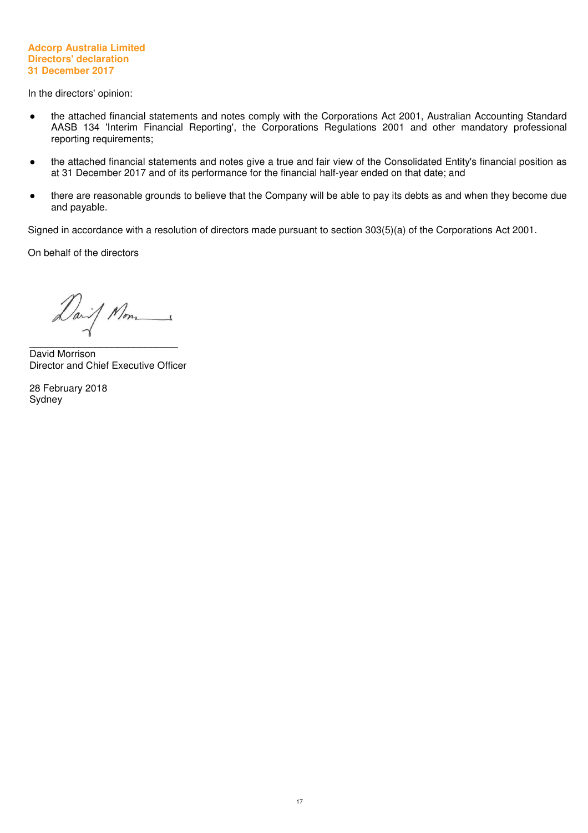#### **Adcorp Australia Limited Directors' declaration 31 December 2017**

In the directors' opinion:

- the attached financial statements and notes comply with the Corporations Act 2001, Australian Accounting Standard AASB 134 'Interim Financial Reporting', the Corporations Regulations 2001 and other mandatory professional reporting requirements;
- the attached financial statements and notes give a true and fair view of the Consolidated Entity's financial position as at 31 December 2017 and of its performance for the financial half-year ended on that date; and
- there are reasonable grounds to believe that the Company will be able to pay its debts as and when they become due and payable.

Signed in accordance with a resolution of directors made pursuant to section 303(5)(a) of the Corporations Act 2001.

On behalf of the directors

Daif Mon

 $\overline{\phantom{a}}$  , and the set of the set of the set of the set of the set of the set of the set of the set of the set of the set of the set of the set of the set of the set of the set of the set of the set of the set of the s David Morrison Director and Chief Executive Officer

28 February 2018 Sydney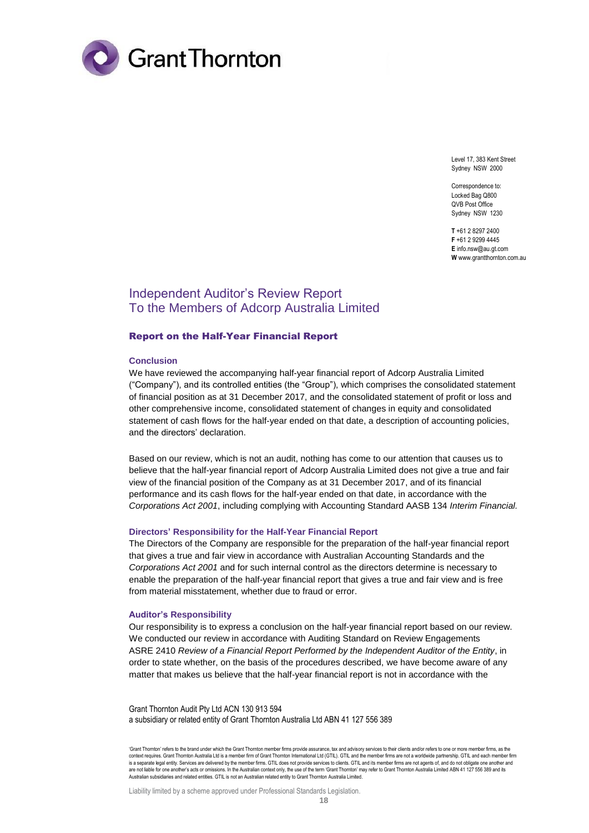

Level 17, 383 Kent Street Sydney NSW 2000

Correspondence to: Locked Bag Q800 QVB Post Office Sydney NSW 1230

**T** +61 2 8297 2400 **F** +61 2 9299 4445 **E** info.nsw@au.gt.com **W** www.grantthornton.com.au

# Independent Auditor's Review Report To the Members of Adcorp Australia Limited

#### Report on the Half-Year Financial Report

#### **Conclusion**

We have reviewed the accompanying half-year financial report of Adcorp Australia Limited ("Company"), and its controlled entities (the "Group"), which comprises the consolidated statement of financial position as at 31 December 2017, and the consolidated statement of profit or loss and other comprehensive income, consolidated statement of changes in equity and consolidated statement of cash flows for the half-year ended on that date, a description of accounting policies, and the directors' declaration.

Based on our review, which is not an audit, nothing has come to our attention that causes us to believe that the half-year financial report of Adcorp Australia Limited does not give a true and fair view of the financial position of the Company as at 31 December 2017, and of its financial performance and its cash flows for the half-year ended on that date, in accordance with the *Corporations Act 2001*, including complying with Accounting Standard AASB 134 *Interim Financial.*

#### **Directors' Responsibility for the Half-Year Financial Report**

The Directors of the Company are responsible for the preparation of the half-year financial report that gives a true and fair view in accordance with Australian Accounting Standards and the *Corporations Act 2001* and for such internal control as the directors determine is necessary to enable the preparation of the half-year financial report that gives a true and fair view and is free from material misstatement, whether due to fraud or error.

#### **Auditor's Responsibility**

Our responsibility is to express a conclusion on the half-year financial report based on our review. We conducted our review in accordance with Auditing Standard on Review Engagements ASRE 2410 *Review of a Financial Report Performed by the Independent Auditor of the Entity*, in order to state whether, on the basis of the procedures described, we have become aware of any matter that makes us believe that the half-year financial report is not in accordance with the

Grant Thornton Audit Pty Ltd ACN 130 913 594 a subsidiary or related entity of Grant Thornton Australia Ltd ABN 41 127 556 389

'Grant Thornton' refers to the brand under which the Grant Thornton member firms provide assurance, tax and advisory services to their clients and/or refers to one or more member firms, as the context requires. Grant Thornton Australia Ltd is a member firm of Grant Thornton International Ltd (GTIL). GTIL and the member firms are not a worldwide partnership. GTIL and each member firm is a separate legal entity. Services are delivered by the member firms. GTIL does not provide services to clients. GTIL and its member firms are not agents of, and do not obligate one another and<br>are not liable for one ano Australian subsidiaries and related entities. GTIL is not an Australian related entity to Grant Thornton Australia Limited.

Liability limited by a scheme approved under Professional Standards Legislation.